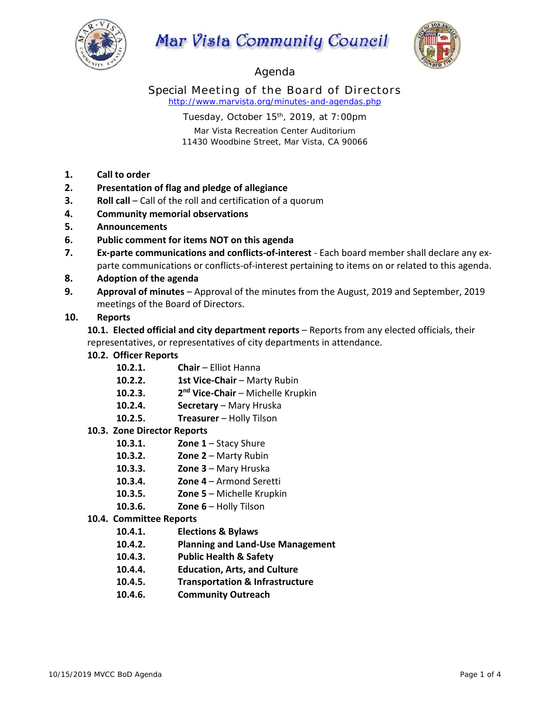

# **Mar Vista Community Council**



Agenda

Special Meeting of the Board of Directors *http://www.marvista.org/minutes-and-agendas.php* 

Tuesday, October 15<sup>th</sup>, 2019, at 7:00pm

Mar Vista Recreation Center Auditorium 11430 Woodbine Street, Mar Vista, CA 90066

- **1. Call to order**
- **2. Presentation of flag and pledge of allegiance**
- **3. Roll call** Call of the roll and certification of a quorum
- **4. Community memorial observations**
- **5. Announcements**
- **6. Public comment for items NOT on this agenda**
- **7. Ex‐parte communications and conflicts‐of‐interest** ‐ Each board member shall declare any ex‐ parte communications or conflicts‐of‐interest pertaining to items on or related to this agenda.
- **8. Adoption of the agenda**
- **9. Approval of minutes** Approval of the minutes from the August, 2019 and September, 2019 meetings of the Board of Directors.

# **10. Reports**

**10.1. Elected official and city department reports** – Reports from any elected officials, their representatives, or representatives of city departments in attendance.

- **10.2. Officer Reports**
	- **10.2.1. Chair** Elliot Hanna
	- **10.2.2. 1st Vice‐Chair** Marty Rubin
	- **10.2.3. 2nd Vice‐Chair** Michelle Krupkin
	- **10.2.4. Secretary** Mary Hruska
	- **10.2.5. Treasurer** Holly Tilson
- **10.3. Zone Director Reports**
	- **10.3.1. Zone 1** Stacy Shure
	- **10.3.2. Zone 2** Marty Rubin
	- **10.3.3. Zone 3** Mary Hruska
	- **10.3.4. Zone 4** Armond Seretti
	- **10.3.5. Zone 5** Michelle Krupkin
	- **10.3.6. Zone 6** Holly Tilson
- **10.4. Committee Reports**
	- **10.4.1. Elections & Bylaws**
	- **10.4.2. Planning and Land‐Use Management**
	- **10.4.3. Public Health & Safety**
	- **10.4.4. Education, Arts, and Culture**
	- **10.4.5. Transportation & Infrastructure**
	- **10.4.6. Community Outreach**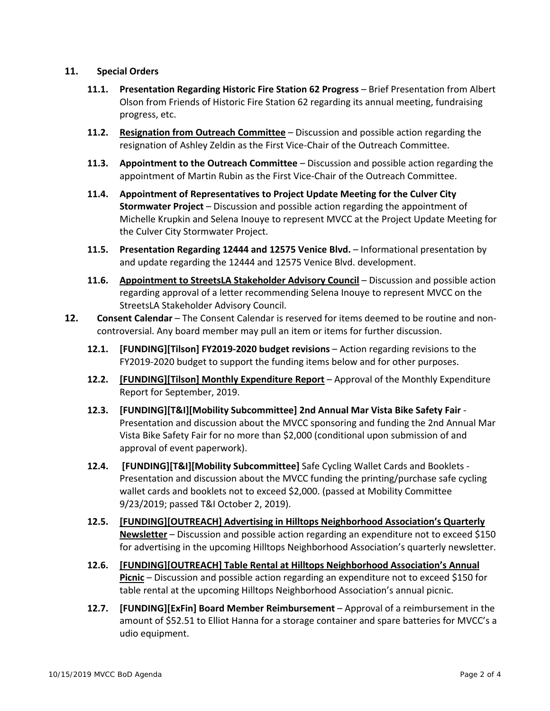### **11. Special Orders**

- **11.1. Presentation Regarding Historic Fire Station 62 Progress** Brief Presentation from Albert Olson from Friends of Historic Fire Station 62 regarding its annual meeting, fundraising progress, etc.
- **11.2. Resignation from Outreach Committee** Discussion and possible action regarding the resignation of Ashley Zeldin as the First Vice‐Chair of the Outreach Committee.
- **11.3. Appointment to the Outreach Committee** Discussion and possible action regarding the appointment of Martin Rubin as the First Vice‐Chair of the Outreach Committee.
- **11.4. Appointment of Representatives to Project Update Meeting for the Culver City Stormwater Project** – Discussion and possible action regarding the appointment of Michelle Krupkin and Selena Inouye to represent MVCC at the Project Update Meeting for the Culver City Stormwater Project.
- **11.5. Presentation Regarding 12444 and 12575 Venice Blvd.** Informational presentation by and update regarding the 12444 and 12575 Venice Blvd. development.
- **11.6. Appointment to StreetsLA Stakeholder Advisory Council** Discussion and possible action regarding approval of a letter recommending Selena Inouye to represent MVCC on the StreetsLA Stakeholder Advisory Council.
- **12. Consent Calendar** The Consent Calendar is reserved for items deemed to be routine and non‐ controversial. Any board member may pull an item or items for further discussion.
	- **12.1. [FUNDING][Tilson] FY2019‐2020 budget revisions** Action regarding revisions to the FY2019‐2020 budget to support the funding items below and for other purposes.
	- **12.2. [FUNDING][Tilson] Monthly Expenditure Report** Approval of the Monthly Expenditure Report for September, 2019.
	- **12.3. [FUNDING][T&I][Mobility Subcommittee] 2nd Annual Mar Vista Bike Safety Fair** ‐ Presentation and discussion about the MVCC sponsoring and funding the 2nd Annual Mar Vista Bike Safety Fair for no more than \$2,000 (conditional upon submission of and approval of event paperwork).
	- **12.4. [FUNDING][T&I][Mobility Subcommittee]** Safe Cycling Wallet Cards and Booklets ‐ Presentation and discussion about the MVCC funding the printing/purchase safe cycling wallet cards and booklets not to exceed \$2,000. (passed at Mobility Committee 9/23/2019; passed T&I October 2, 2019).
	- **12.5. [FUNDING][OUTREACH] Advertising in Hilltops Neighborhood Association's Quarterly Newsletter** – Discussion and possible action regarding an expenditure not to exceed \$150 for advertising in the upcoming Hilltops Neighborhood Association's quarterly newsletter.
	- **12.6. [FUNDING][OUTREACH] Table Rental at Hilltops Neighborhood Association's Annual Picnic** – Discussion and possible action regarding an expenditure not to exceed \$150 for table rental at the upcoming Hilltops Neighborhood Association's annual picnic.
	- **12.7. [FUNDING][ExFin] Board Member Reimbursement** Approval of a reimbursement in the amount of \$52.51 to Elliot Hanna for a storage container and spare batteries for MVCC's a udio equipment.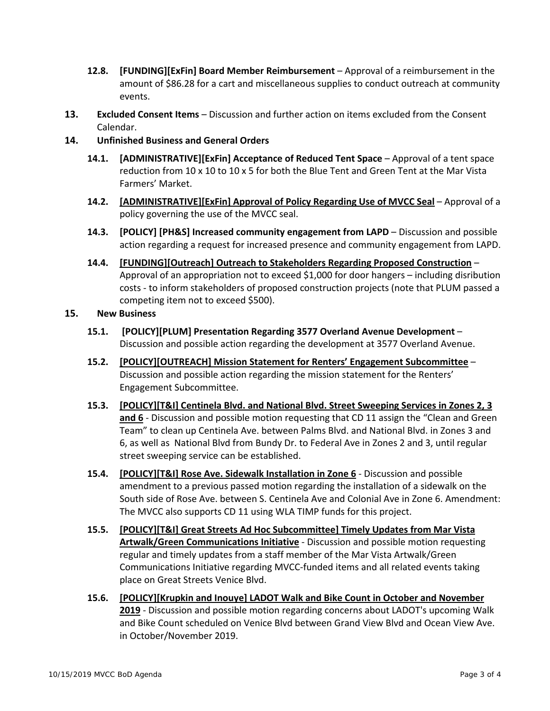- **12.8. [FUNDING][ExFin] Board Member Reimbursement** Approval of a reimbursement in the amount of \$86.28 for a cart and miscellaneous supplies to conduct outreach at community events.
- **13. Excluded Consent Items** Discussion and further action on items excluded from the Consent Calendar.
- **14. Unfinished Business and General Orders**
	- **14.1. [ADMINISTRATIVE][ExFin] Acceptance of Reduced Tent Space** Approval of a tent space reduction from 10 x 10 to 10 x 5 for both the Blue Tent and Green Tent at the Mar Vista Farmers' Market.
	- **14.2. [ADMINISTRATIVE][ExFin] Approval of Policy Regarding Use of MVCC Seal** Approval of a policy governing the use of the MVCC seal.
	- **14.3. [POLICY] [PH&S] Increased community engagement from LAPD** Discussion and possible action regarding a request for increased presence and community engagement from LAPD.
	- **14.4. [FUNDING][Outreach] Outreach to Stakeholders Regarding Proposed Construction** Approval of an appropriation not to exceed \$1,000 for door hangers – including disribution costs ‐ to inform stakeholders of proposed construction projects (note that PLUM passed a competing item not to exceed \$500).

# **15. New Business**

- **15.1. [POLICY][PLUM] Presentation Regarding 3577 Overland Avenue Development** Discussion and possible action regarding the development at 3577 Overland Avenue.
- **15.2. [POLICY][OUTREACH] Mission Statement for Renters' Engagement Subcommittee** Discussion and possible action regarding the mission statement for the Renters' Engagement Subcommittee.
- **15.3. [POLICY][T&I] Centinela Blvd. and National Blvd. Street Sweeping Services in Zones 2, 3 and 6** - Discussion and possible motion requesting that CD 11 assign the "Clean and Green Team" to clean up Centinela Ave. between Palms Blvd. and National Blvd. in Zones 3 and 6, as well as National Blvd from Bundy Dr. to Federal Ave in Zones 2 and 3, until regular street sweeping service can be established.
- **15.4. [POLICY][T&I] Rose Ave. Sidewalk Installation in Zone 6** ‐ Discussion and possible amendment to a previous passed motion regarding the installation of a sidewalk on the South side of Rose Ave. between S. Centinela Ave and Colonial Ave in Zone 6. Amendment: The MVCC also supports CD 11 using WLA TIMP funds for this project.
- **15.5. [POLICY][T&I] Great Streets Ad Hoc Subcommittee] Timely Updates from Mar Vista Artwalk/Green Communications Initiative** ‐ Discussion and possible motion requesting regular and timely updates from a staff member of the Mar Vista Artwalk/Green Communications Initiative regarding MVCC‐funded items and all related events taking place on Great Streets Venice Blvd.
- **15.6. [POLICY][Krupkin and Inouye] LADOT Walk and Bike Count in October and November 2019** ‐ Discussion and possible motion regarding concerns about LADOT's upcoming Walk and Bike Count scheduled on Venice Blvd between Grand View Blvd and Ocean View Ave. in October/November 2019.